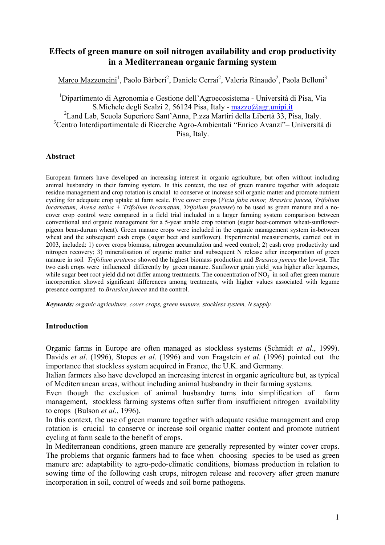# **Effects of green manure on soil nitrogen availability and crop productivity in a Mediterranean organic farming system**

Marco Mazzoncini<sup>1</sup>, Paolo Bàrberi<sup>2</sup>, Daniele Cerrai<sup>2</sup>, Valeria Rinaudo<sup>2</sup>, Paola Belloni<sup>3</sup>

1 Dipartimento di Agronomia e Gestione dell'Agroecosistema - Università di Pisa, Via S.Michele degli Scalzi 2, 56124 Pisa, Italy - mazzo@agr.unipi.it 2 Land Lab, Scuola Superiore Sant'Anna, P.zza Martiri della Libertà 33, Pisa, Italy. <sup>3</sup>Centro Interdipartimentale di Ricerche Agro-Ambientali "Enrico Avanzi" – Università di Pisa, Italy.

## **Abstract**

European farmers have developed an increasing interest in organic agriculture, but often without including animal husbandry in their farming system. In this context, the use of green manure together with adequate residue management and crop rotation is crucial to conserve or increase soil organic matter and promote nutrient cycling for adequate crop uptake at farm scale. Five cover crops (*Vicia faba minor, Brassica juncea, Trifolium incarnatum, Avena sativa + Trifolium incarnatum, Trifolium pratense*) to be used as green manure and a nocover crop control were compared in a field trial included in a larger farming system comparison between conventional and organic management for a 5-year arable crop rotation (sugar beet-common wheat-sunflowerpigeon bean-durum wheat). Green manure crops were included in the organic management system in-between wheat and the subsequent cash crops (sugar beet and sunflower). Experimental measurements, carried out in 2003, included: 1) cover crops biomass, nitrogen accumulation and weed control; 2) cash crop productivity and nitrogen recovery; 3) mineralisation of organic matter and subsequent N release after incorporation of green manure in soil *Trifolium pratense* showed the highest biomass production and *Brassica juncea* the lowest. The two cash crops were influenced differently by green manure. Sunflower grain yield was higher after legumes, while sugar beet root yield did not differ among treatments. The concentration of  $NO<sub>3</sub>$  in soil after green manure incorporation showed significant differences among treatments, with higher values associated with legume presence compared to *Brassica juncea* and the control.

*Keywords: organic agriculture, cover crops, green manure, stockless system, N supply.* 

#### **Introduction**

Organic farms in Europe are often managed as stockless systems (Schmidt *et al*., 1999). Davids *et al*. (1996), Stopes *et al*. (1996) and von Fragstein *et al*. (1996) pointed out the importance that stockless system acquired in France, the U.K. and Germany.

Italian farmers also have developed an increasing interest in organic agriculture but, as typical of Mediterranean areas, without including animal husbandry in their farming systems.

Even though the exclusion of animal husbandry turns into simplification of farm management, stockless farming systems often suffer from insufficient nitrogen availability to crops (Bulson *et al*., 1996).

In this context, the use of green manure together with adequate residue management and crop rotation is crucial to conserve or increase soil organic matter content and promote nutrient cycling at farm scale to the benefit of crops.

In Mediterranean conditions, green manure are generally represented by winter cover crops. The problems that organic farmers had to face when choosing species to be used as green manure are: adaptability to agro-pedo-climatic conditions, biomass production in relation to sowing time of the following cash crops, nitrogen release and recovery after green manure incorporation in soil, control of weeds and soil borne pathogens.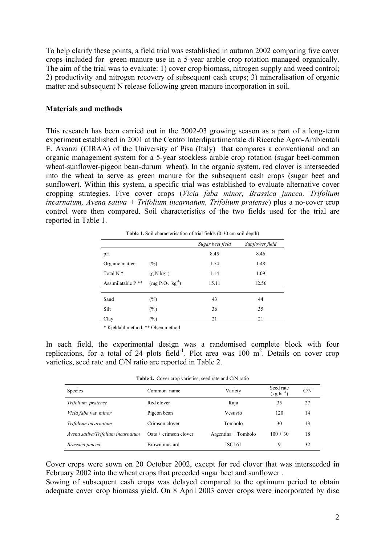To help clarify these points, a field trial was established in autumn 2002 comparing five cover crops included for green manure use in a 5-year arable crop rotation managed organically. The aim of the trial was to evaluate: 1) cover crop biomass, nitrogen supply and weed control; 2) productivity and nitrogen recovery of subsequent cash crops; 3) mineralisation of organic matter and subsequent N release following green manure incorporation in soil.

#### **Materials and methods**

This research has been carried out in the 2002-03 growing season as a part of a long-term experiment established in 2001 at the Centro Interdipartimentale di Ricerche Agro-Ambientali E. Avanzi (CIRAA) of the University of Pisa (Italy) that compares a conventional and an organic management system for a 5-year stockless arable crop rotation (sugar beet-common wheat-sunflower-pigeon bean-durum wheat). In the organic system, red clover is interseeded into the wheat to serve as green manure for the subsequent cash crops (sugar beet and sunflower). Within this system, a specific trial was established to evaluate alternative cover cropping strategies. Five cover crops (*Vicia faba minor, Brassica juncea, Trifolium incarnatum, Avena sativa + Trifolium incarnatum, Trifolium pratense*) plus a no-cover crop control were then compared. Soil characteristics of the two fields used for the trial are reported in Table 1.

|                      | <b>Table 1.</b> Soil characterisation of trial fields (0-30 cm soil depth) |                  |                 |  |  |  |  |  |
|----------------------|----------------------------------------------------------------------------|------------------|-----------------|--|--|--|--|--|
|                      |                                                                            | Sugar beet field | Sunflower field |  |  |  |  |  |
| pH                   |                                                                            | 8.45             | 8.46            |  |  |  |  |  |
| Organic matter       | $(\%)$                                                                     | 1.54             | 1.48            |  |  |  |  |  |
| Total N <sup>*</sup> | $(g N kg^{-1})$                                                            | 1.14             | 1.09            |  |  |  |  |  |
| Assimilatable P **   | $(mg P_2O_5 kg^{-1})$                                                      | 15.11            | 12.56           |  |  |  |  |  |
|                      |                                                                            |                  |                 |  |  |  |  |  |
| Sand                 | $(\%)$                                                                     | 43               | 44              |  |  |  |  |  |
| Silt                 | $(\%)$                                                                     | 36               | 35              |  |  |  |  |  |
| Clay                 | $(\%)$                                                                     | 21               | 21              |  |  |  |  |  |

\* Kjeldahl method, \*\* Olsen method

In each field, the experimental design was a randomised complete block with four replications, for a total of 24 plots field<sup>-1</sup>. Plot area was 100  $m^2$ . Details on cover crop varieties, seed rate and C/N ratio are reported in Table 2.

**Table 2.** Cover crop varieties, seed rate and C/N ratio

| Species                           | Common name                           | Variety               | Seed rate<br>$(kg ha^{-1})$ | C/N |
|-----------------------------------|---------------------------------------|-----------------------|-----------------------------|-----|
| Trifolium pratense                | Red clover                            | Raja                  | 35                          | 27  |
| Vicia faba var. minor             | Pigeon bean                           | Vesuvio               | 120                         | 14  |
| Trifolium incarnatum              | Crimson clover                        | Tombolo               | 30                          | 13  |
| Avena sativa/Trifolium incarnatum | $\text{Oats} + \text{crimson}$ clover | $Argentina + Tombolo$ | $100 + 30$                  | 18  |
| Brassica juncea                   | Brown mustard                         | ISCI 61               | 9                           | 32  |

Cover crops were sown on 20 October 2002, except for red clover that was interseeded in February 2002 into the wheat crops that preceded sugar beet and sunflower .

Sowing of subsequent cash crops was delayed compared to the optimum period to obtain adequate cover crop biomass yield. On 8 April 2003 cover crops were incorporated by disc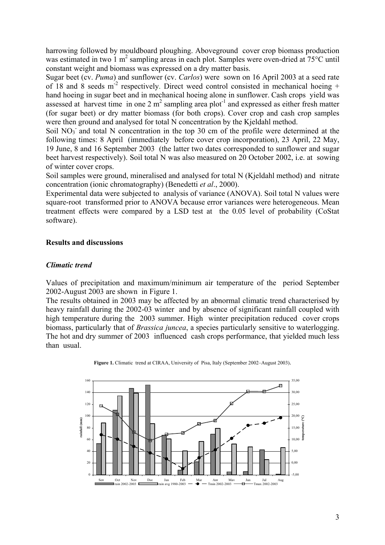harrowing followed by mouldboard ploughing. Aboveground cover crop biomass production was estimated in two 1 m<sup>2</sup> sampling areas in each plot. Samples were oven-dried at 75°C until constant weight and biomass was expressed on a dry matter basis.

Sugar beet (cv. *Puma*) and sunflower (cv. *Carlos*) were sown on 16 April 2003 at a seed rate of 18 and 8 seeds  $m<sup>2</sup>$  respectively. Direct weed control consisted in mechanical hoeing + hand hoeing in sugar beet and in mechanical hoeing alone in sunflower. Cash crops yield was assessed at harvest time in one 2  $m^2$  sampling area plot<sup>1</sup> and expressed as either fresh matter (for sugar beet) or dry matter biomass (for both crops). Cover crop and cash crop samples were then ground and analysed for total N concentration by the Kjeldahl method.

Soil NO<sub>3</sub> and total N concentration in the top 30 cm of the profile were determined at the following times: 8 April (immediately before cover crop incorporation), 23 April, 22 May, 19 June, 8 and 16 September 2003 (the latter two dates corresponded to sunflower and sugar beet harvest respectively). Soil total N was also measured on 20 October 2002, i.e. at sowing of winter cover crops.

Soil samples were ground, mineralised and analysed for total N (Kjeldahl method) and nitrate concentration (ionic chromatography) (Benedetti *et al*., 2000).

Experimental data were subjected to analysis of variance (ANOVA). Soil total N values were square-root transformed prior to ANOVA because error variances were heterogeneous. Mean treatment effects were compared by a LSD test at the 0.05 level of probability (CoStat software).

# **Results and discussions**

# *Climatic trend*

Values of precipitation and maximum/minimum air temperature of the period September 2002-August 2003 are shown in Figure 1.

The results obtained in 2003 may be affected by an abnormal climatic trend characterised by heavy rainfall during the 2002-03 winter and by absence of significant rainfall coupled with high temperature during the 2003 summer. High winter precipitation reduced cover crops biomass, particularly that of *Brassica juncea*, a species particularly sensitive to waterlogging. The hot and dry summer of 2003 influenced cash crops performance, that yielded much less than usual.



**Figure 1.** Climatic trend at CIRAA, University of Pisa, Italy (September 2002–August 2003).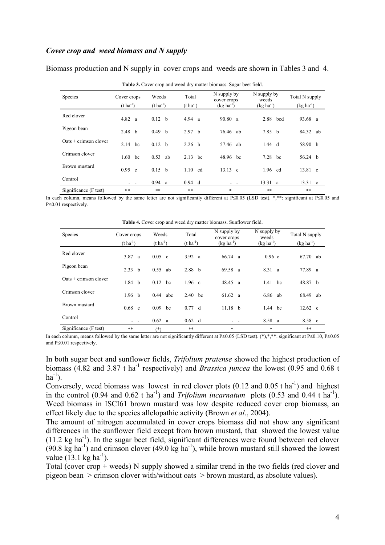#### *Cover crop and weed biomass and N supply*

| Species                               | Cover crops<br>$(t \text{ ha}^{-1})$ | Weeds<br>$(t \text{ ha}^{-1})$ | Total<br>$(t \text{ ha}^{-1})$ | N supply by<br>cover crops<br>$(kg ha^{-1})$ | N supply by<br>weeds<br>$(kg ha^{-1})$ | Total N supply<br>$(kg ha^{-1})$ |
|---------------------------------------|--------------------------------------|--------------------------------|--------------------------------|----------------------------------------------|----------------------------------------|----------------------------------|
| Red clover                            | 4.82 a                               | 0.12 b                         | 4.94 a                         | 90.80 a                                      | 2.88 bcd                               | 93.68 a                          |
| Pigeon bean                           | 2.48 h                               | 0.49 <sub>b</sub>              | 2.97 <sub>b</sub>              | 76.46 ab                                     | 7.85 b                                 | 84.32 ab                         |
| $\text{Oats} + \text{crimson}$ clover | 2.14<br>bc                           | 0.12 <sub>b</sub>              | 2.26 <sub>b</sub>              | 57.46 ab                                     | $1.44$ d                               | 58.90 b                          |
| Crimson clover                        | 1.60<br>bc                           | 0.53<br>ab                     | $2.13$ hc                      | 48.96 bc                                     | $7.28$ bc                              | 56.24 b                          |
| Brown mustard                         | $0.95$ c                             | 0.15 b                         | $1.10$ cd                      | $13.13 \text{ c}$                            | 1.96 cd                                | 13.81 c                          |
| Control                               |                                      | 0.94 a                         | $0.94$ d                       |                                              | $13.31 \text{ a}$                      | $13.31 \text{ c}$                |
| Significance (F test)                 | $***$                                | $***$                          | $***$                          | $\ast$                                       | $***$                                  | $***$                            |

Biomass production and N supply in cover crops and weeds are shown in Tables 3 and 4.

In each column, means followed by the same letter are not significantly different at P≤0.05 (LSD test). \*,\*\*: significant at P≤0.05 and P≤0.01 respectively.

**Table 4.** Cover crop and weed dry matter biomass. Sunflower field.

| Species                 | Cover crops<br>$(t \text{ ha}^{-1})$ | Weeds<br>$(t \text{ ha}^{-1})$ | Total<br>$(t \text{ ha}^{-1})$ | N supply by<br>cover crops<br>$(kg ha^{-1})$ | N supply by<br>weeds<br>$(kg ha^{-1})$ | Total N supply<br>$(kg ha^{-1})$ |
|-------------------------|--------------------------------------|--------------------------------|--------------------------------|----------------------------------------------|----------------------------------------|----------------------------------|
| Red clover              | 3.87<br><sub>a</sub>                 | $0.05 \text{ c}$               | 3.92 a                         | $66.74 \text{ a}$                            | $0.96$ c                               | 67.70<br>ab                      |
| Pigeon bean             | 2.33 b                               | 0.55<br>ab                     | 2.88 b                         | 69.58 a                                      | 8.31<br><sub>a</sub>                   | 77.89 a                          |
| $Oats + crimson$ clover | 1.84 <sub>b</sub>                    | $0.12$ bc                      | $1.96$ c                       | 48.45 a                                      | bc<br>1.41                             | 48.87 b                          |
| Crimson clover          | 1.96 <sub>b</sub>                    | 0.44<br>abc                    | 2.40<br>bc                     | $61.62 \text{ a}$                            | 6.86<br>ab                             | 68.49<br>ab                      |
| Brown mustard           | $0.68$ c                             | 0.09<br>bc                     | 0.77 d                         | $11.18$ b                                    | 1.44<br>bc                             | $12.62 \text{ c}$                |
| Control                 | $ -$                                 | 0.62 a                         | $0.62$ d                       |                                              | 8.58 a                                 | 8.58 c                           |
| Significance (F test)   | **                                   | (*)                            | $***$                          | *                                            | $\ast$                                 | **                               |

In each column, means followed by the same letter are not significantly different at P≤0.05 (LSD test). (\*),\*,\*\*: significant at P≤0.10, P≤0.05 and P≤0.01 respectively.

In both sugar beet and sunflower fields, *Trifolium pratense* showed the highest production of biomass (4.82 and 3.87 t ha-1 respectively) and *Brassica juncea* the lowest (0.95 and 0.68 t  $ha^{-1}$ ).

Conversely, weed biomass was lowest in red clover plots  $(0.12 \text{ and } 0.05 \text{ t ha}^{-1})$  and highest in the control (0.94 and 0.62 t ha<sup>-1</sup>) and *Trifolium incarnatum* plots (0.53 and 0.44 t ha<sup>-1</sup>). Weed biomass in ISCI61 brown mustard was low despite reduced cover crop biomass, an effect likely due to the species allelopathic activity (Brown *et al*., 2004).

The amount of nitrogen accumulated in cover crops biomass did not show any significant differences in the sunflower field except from brown mustard, that showed the lowest value  $(11.2 \text{ kg ha}^{-1})$ . In the sugar beet field, significant differences were found between red clover  $(90.8 \text{ kg ha}^{-1})$  and crimson clover  $(49.0 \text{ kg ha}^{-1})$ , while brown mustard still showed the lowest value  $(13.1 \text{ kg ha}^{-1})$ .

Total (cover crop + weeds) N supply showed a similar trend in the two fields (red clover and pigeon bean > crimson clover with/without oats > brown mustard, as absolute values).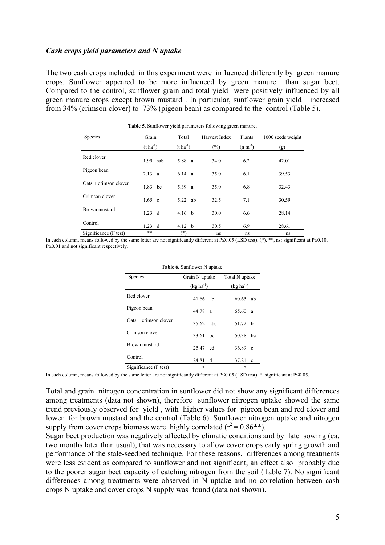## *Cash crops yield parameters and N uptake*

The two cash crops included in this experiment were influenced differently by green manure crops. Sunflower appeared to be more influenced by green manure than sugar beet. Compared to the control, sunflower grain and total yield were positively influenced by all green manure crops except brown mustard . In particular, sunflower grain yield increased from 34% (crimson clover) to 73% (pigeon bean) as compared to the control (Table 5).

| Species                               | Grain                 | Total                 | Harvest Index | Plants    | 1000 seeds weight |
|---------------------------------------|-----------------------|-----------------------|---------------|-----------|-------------------|
|                                       | $(t \text{ ha}^{-1})$ | $(t \text{ ha}^{-1})$ | (%)           | $(n m-2)$ | (g)               |
| Red clover                            | 1.99<br>sab           | 5.88 a                | 34.0          | 6.2       | 42.01             |
| Pigeon bean                           | 2.13<br>a             | 6.14 a                | 35.0          | 6.1       | 39.53             |
| $\text{Oats} + \text{crimson}$ clover | 1.83<br>bc            | 5.39 a                | 35.0          | 6.8       | 32.43             |
| Crimson clover                        | $1.65 \text{ c}$      | 5.22 ab               | 32.5          | 7.1       | 30.59             |
| Brown mustard                         | 1.23<br>d             | 4.16 <sub>b</sub>     | 30.0          | 6.6       | 28.14             |
| Control                               | 1.23<br>d             | 4.12<br>h             | 30.5          | 6.9       | 28.61             |
| Significance (F test)                 | **                    | (*)                   | ns            | ns        | ns                |

**Table 5.** Sunflower yield parameters following green manure.

In each column, means followed by the same letter are not significantly different at P≤0.05 (LSD test). (\*), \*\*, ns: significant at P≤0.10, P≤0.01 and not significant respectively.

| Species                 | Grain N uptake |               | Total N uptake |              |
|-------------------------|----------------|---------------|----------------|--------------|
|                         | $(kg ha-1)$    |               | $(kg ha-1)$    |              |
| Red clover              | 41.66 ab       |               | 60.65          | ab           |
| Pigeon bean             | 44.78 a        |               | 65.60          | a            |
| $Oats + crimson$ clover | 35.62 abc      |               | 51.72 $h$      |              |
| Crimson clover          | 33.61          | <sub>bc</sub> | 50.38          | bc           |
| Brown mustard           | 25.47 cd       |               | 36.89          | $\mathbf{c}$ |
| Control                 | 24.81<br>d     |               | 37.21          | $\mathbf c$  |
| Significance (F test)   | *              |               | *              |              |
|                         |                |               |                |              |

#### **Table 6.** Sunflower N uptake.

In each column, means followed by the same letter are not significantly different at P≤0.05 (LSD test). \*: significant at P≤0.05.

Total and grain nitrogen concentration in sunflower did not show any significant differences among treatments (data not shown), therefore sunflower nitrogen uptake showed the same trend previously observed for yield , with higher values for pigeon bean and red clover and lower for brown mustard and the control (Table 6). Sunflower nitrogen uptake and nitrogen supply from cover crops biomass were highly correlated  $(r^2 = 0.86**)$ .

Sugar beet production was negatively affected by climatic conditions and by late sowing (ca. two months later than usual), that was necessary to allow cover crops early spring growth and performance of the stale-seedbed technique. For these reasons, differences among treatments were less evident as compared to sunflower and not significant, an effect also probably due to the poorer sugar beet capacity of catching nitrogen from the soil (Table 7). No significant differences among treatments were observed in N uptake and no correlation between cash crops N uptake and cover crops N supply was found (data not shown).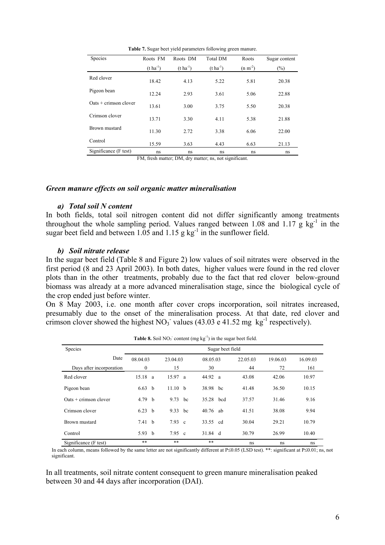**Table 7.** Sugar beet yield parameters following green manure.

| Species                               | Roots FM              | Roots DM         | <b>Total DM</b>  | Roots     | Sugar content |
|---------------------------------------|-----------------------|------------------|------------------|-----------|---------------|
|                                       | $(t \text{ ha}^{-1})$ | $(t \, ha^{-1})$ | $(t \, ha^{-1})$ | $(n m-2)$ | $(\%)$        |
| Red clover                            | 18.42                 | 4.13             | 5.22             | 5.81      | 20.38         |
| Pigeon bean                           | 12.24                 | 2.93             | 3.61             | 5.06      | 22.88         |
| $\text{Oats} + \text{crimson clover}$ | 13.61                 | 3.00             | 3.75             | 5.50      | 20.38         |
| Crimson clover                        | 13.71                 | 3.30             | 4.11             | 5.38      | 21.88         |
| Brown mustard                         | 11.30                 | 2.72             | 3.38             | 6.06      | 22.00         |
| Control                               | 15.59                 | 3.63             | 4.43             | 6.63      | 21.13         |
| Significance (F test)                 | ns                    | ns               | ns               | ns        | ns            |

FM, fresh matter; DM, dry matter; ns, not significant.

#### *Green manure effects on soil organic matter mineralisation*

#### *a) Total soil N content*

In both fields, total soil nitrogen content did not differ significantly among treatments throughout the whole sampling period. Values ranged between 1.08 and 1.17  $\bar{g}$  kg<sup>-1</sup> in the sugar beet field and between 1.05 and 1.15 g  $kg^{-1}$  in the sunflower field.

#### *b) Soil nitrate release*

In the sugar beet field (Table 8 and Figure 2) low values of soil nitrates were observed in the first period (8 and 23 April 2003). In both dates, higher values were found in the red clover plots than in the other treatments, probably due to the fact that red clover below-ground biomass was already at a more advanced mineralisation stage, since the biological cycle of the crop ended just before winter.

On 8 May 2003, i.e. one month after cover crops incorporation, soil nitrates increased, presumably due to the onset of the mineralisation process. At that date, red clover and crimson clover showed the highest  $NO_3$  values (43.03 e 41.52 mg kg<sup>-1</sup> respectively).

| Species                  |                   |                  |    |           |    |          |          |          |
|--------------------------|-------------------|------------------|----|-----------|----|----------|----------|----------|
| Date                     | 08.04.03          | 23.04.03         |    | 08.05.03  |    | 22.05.03 | 19.06.03 | 16.09.03 |
| Days after incorporation | $\mathbf{0}$      | 15               |    | 30        |    | 44       | 72       | 161      |
| Red clover               | 15.18 a           | 15.97 a          |    | 44.92 a   |    | 43.08    | 42.06    | 10.97    |
| Pigeon bean              | 6.63 <sub>b</sub> | 11.10 b          |    | 38.98     | bc | 41.48    | 36.50    | 10.15    |
| $Oats + crimson$ clover  | 4.79 <sub>b</sub> | 9.73             | bc | 35.28 bcd |    | 37.57    | 31.46    | 9.16     |
| Crimson clover           | 6.23 b            | 9.33 bc          |    | 40.76     | ab | 41.51    | 38.08    | 9.94     |
| Brown mustard            | 7.41 b            | $7.93 \text{ c}$ |    | 33.55 cd  |    | 30.04    | 29.21    | 10.79    |
| Control                  | 5.93 b            | $7.95 \text{ c}$ |    | 31.84 d   |    | 30.79    | 26.99    | 10.40    |
| Significance (F test)    | **                | **               |    | $***$     |    | ns       | ns       | ns       |

**Table 8.** Soil  $NO_3$ <sup>-</sup> content (mg  $kg^{-1}$ ) in the sugar beet field.

In each column, means followed by the same letter are not significantly different at P≤0.05 (LSD test). \*\*: significant at P≤0.01; ns, not significant.

In all treatments, soil nitrate content consequent to green manure mineralisation peaked between 30 and 44 days after incorporation (DAI).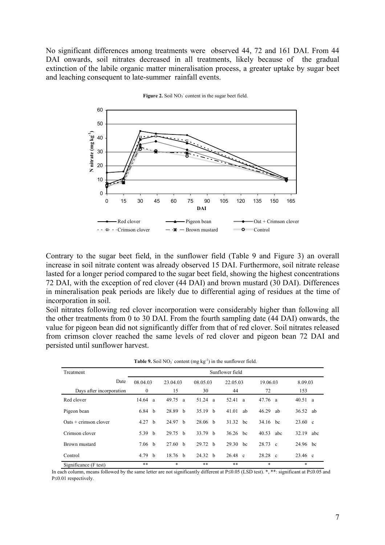No significant differences among treatments were observed 44, 72 and 161 DAI. From 44 DAI onwards, soil nitrates decreased in all treatments, likely because of the gradual extinction of the labile organic matter mineralisation process, a greater uptake by sugar beet and leaching consequent to late-summer rainfall events.



Figure 2. Soil  $NO<sub>3</sub>$  content in the sugar beet field.

Contrary to the sugar beet field, in the sunflower field (Table 9 and Figure 3) an overall increase in soil nitrate content was already observed 15 DAI. Furthermore, soil nitrate release lasted for a longer period compared to the sugar beet field, showing the highest concentrations 72 DAI, with the exception of red clover (44 DAI) and brown mustard (30 DAI). Differences in mineralisation peak periods are likely due to differential aging of residues at the time of incorporation in soil.

Soil nitrates following red clover incorporation were considerably higher than following all the other treatments from 0 to 30 DAI. From the fourth sampling date (44 DAI) onwards, the value for pigeon bean did not significantly differ from that of red clover. Soil nitrates released from crimson clover reached the same levels of red clover and pigeon bean 72 DAI and persisted until sunflower harvest.

|                                       |                   |                                                         |                    | Table 9. Soil $NO_3$ <sup>-</sup> content (mg $kg^{-1}$ ) in the sunflower field. |                   |                   |  |  |  |
|---------------------------------------|-------------------|---------------------------------------------------------|--------------------|-----------------------------------------------------------------------------------|-------------------|-------------------|--|--|--|
| Treatment                             | Sunflower field   |                                                         |                    |                                                                                   |                   |                   |  |  |  |
| Date                                  | 08.04.03          | 23.04.03<br>08.05.03<br>22.05.03<br>19.06.03<br>8.09.03 |                    |                                                                                   |                   |                   |  |  |  |
| Days after incorporation              | $\bf{0}$          | 15                                                      | 30                 | 44                                                                                | 72                | 153               |  |  |  |
| Red clover                            | $14.64 \text{ a}$ | $49.75 \text{ a}$                                       | 51.24<br>a         | 52.41<br><sup>a</sup>                                                             | $47.76 \text{ a}$ | 40.51 a           |  |  |  |
| Pigeon bean                           | 6.84 <sub>b</sub> | 28.89 h                                                 | $35.19$ b          | 41.01<br>ab                                                                       | 46.29<br>ab       | 36.52 ab          |  |  |  |
| $\text{Oats} + \text{crimson clover}$ | 4.27 <sub>b</sub> | 24.97 h                                                 | 28.06 <sub>b</sub> | 31.32 bc                                                                          | 34.16 bc          | $23.60 \text{ c}$ |  |  |  |
| Crimson clover                        | 5.39 $b$          | 29.75 h                                                 | 33.79 <sub>b</sub> | $36.26$ hc                                                                        | 40.53 abc         | 32.19 abc         |  |  |  |
| Brown mustard                         | 7.06 <sub>b</sub> | 27.60 h                                                 | 29.72<br>h         | 29.30<br>bc                                                                       | 28.73 c           | 24.96 bc          |  |  |  |
| Control                               | 4.79 $b$          | 18.76 <sub>b</sub>                                      | 24.32 b            | $26.48 \text{ c}$                                                                 | $28.28$ c         | 23.46 c           |  |  |  |
| Significance (F test)                 | **                | $\ast$                                                  | $**$               | **                                                                                | $\ast$            | $\ast$            |  |  |  |

In each column, means followed by the same letter are not significantly different at P≤0.05 (LSD test). \*, \*\*: significant at P≤0.05 and P≤0.01 respectively.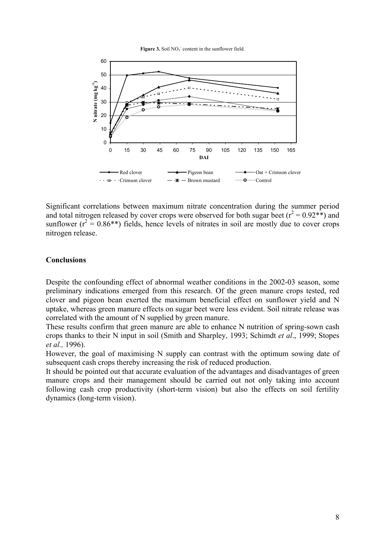Figure  $3$ . Soil  $NO<sub>3</sub>$  content in the sunflower field.



Significant correlations between maximum nitrate concentration during the summer period and total nitrogen released by cover crops were observed for both sugar beet ( $r^2 = 0.92**$ ) and sunflower ( $r^2 = 0.86$ <sup>\*\*</sup>) fields, hence levels of nitrates in soil are mostly due to cover crops nitrogen release.

## **Conclusions**

Despite the confounding effect of abnormal weather conditions in the 2002-03 season, some preliminary indications emerged from this research. Of the green manure crops tested, red clover and pigeon bean exerted the maximum beneficial effect on sunflower yield and N uptake, whereas green manure effects on sugar beet were less evident. Soil nitrate release was correlated with the amount of N supplied by green manure.

These results confirm that green manure are able to enhance N nutrition of spring-sown cash crops thanks to their N input in soil (Smith and Sharpley, 1993; Schimdt *et al*., 1999; Stopes *et al.,* 1996).

However, the goal of maximising N supply can contrast with the optimum sowing date of subsequent cash crops thereby increasing the risk of reduced production.

It should be pointed out that accurate evaluation of the advantages and disadvantages of green manure crops and their management should be carried out not only taking into account following cash crop productivity (short-term vision) but also the effects on soil fertility dynamics (long-term vision).